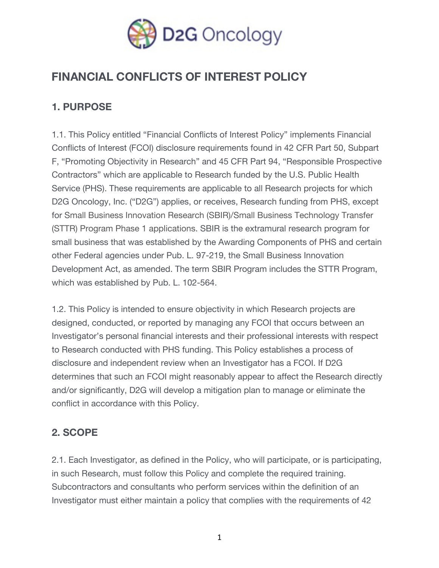

# **FINANCIAL CONFLICTS OF INTEREST POLICY**

### **1. PURPOSE**

1.1. This Policy entitled "Financial Conflicts of Interest Policy" implements Financial Conflicts of Interest (FCOI) disclosure requirements found in 42 CFR Part 50, Subpart F, "Promoting Objectivity in Research" and 45 CFR Part 94, "Responsible Prospective Contractors" which are applicable to Research funded by the U.S. Public Health Service (PHS). These requirements are applicable to all Research projects for which D2G Oncology, Inc. ("D2G") applies, or receives, Research funding from PHS, except for Small Business Innovation Research (SBIR)/Small Business Technology Transfer (STTR) Program Phase 1 applications. SBIR is the extramural research program for small business that was established by the Awarding Components of PHS and certain other Federal agencies under Pub. L. 97-219, the Small Business Innovation Development Act, as amended. The term SBIR Program includes the STTR Program, which was established by Pub. L. 102-564.

1.2. This Policy is intended to ensure objectivity in which Research projects are designed, conducted, or reported by managing any FCOI that occurs between an Investigator's personal financial interests and their professional interests with respect to Research conducted with PHS funding. This Policy establishes a process of disclosure and independent review when an Investigator has a FCOI. If D2G determines that such an FCOI might reasonably appear to affect the Research directly and/or significantly, D2G will develop a mitigation plan to manage or eliminate the conflict in accordance with this Policy.

### **2. SCOPE**

2.1. Each Investigator, as defined in the Policy, who will participate, or is participating, in such Research, must follow this Policy and complete the required training. Subcontractors and consultants who perform services within the definition of an Investigator must either maintain a policy that complies with the requirements of 42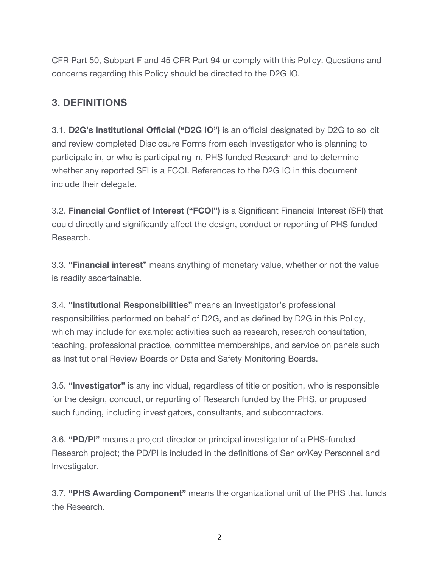CFR Part 50, Subpart F and 45 CFR Part 94 or comply with this Policy. Questions and concerns regarding this Policy should be directed to the D2G IO.

### **3. DEFINITIONS**

3.1. **D2G's Institutional Official ("D2G IO")** is an official designated by D2G to solicit and review completed Disclosure Forms from each Investigator who is planning to participate in, or who is participating in, PHS funded Research and to determine whether any reported SFI is a FCOI. References to the D2G IO in this document include their delegate.

3.2. **Financial Conflict of Interest ("FCOI")** is a Significant Financial Interest (SFI) that could directly and significantly affect the design, conduct or reporting of PHS funded Research.

3.3. **"Financial interest"** means anything of monetary value, whether or not the value is readily ascertainable.

3.4. **"Institutional Responsibilities"** means an Investigator's professional responsibilities performed on behalf of D2G, and as defined by D2G in this Policy, which may include for example: activities such as research, research consultation, teaching, professional practice, committee memberships, and service on panels such as Institutional Review Boards or Data and Safety Monitoring Boards.

3.5. **"Investigator"** is any individual, regardless of title or position, who is responsible for the design, conduct, or reporting of Research funded by the PHS, or proposed such funding, including investigators, consultants, and subcontractors.

3.6. **"PD/Pl"** means a project director or principal investigator of a PHS-funded Research project; the PD/Pl is included in the definitions of Senior/Key Personnel and Investigator.

3.7. **"PHS Awarding Component"** means the organizational unit of the PHS that funds the Research.

2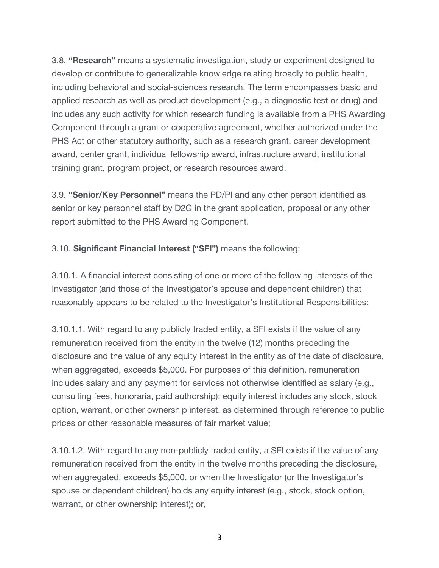3.8. **"Research"** means a systematic investigation, study or experiment designed to develop or contribute to generalizable knowledge relating broadly to public health, including behavioral and social-sciences research. The term encompasses basic and applied research as well as product development (e.g., a diagnostic test or drug) and includes any such activity for which research funding is available from a PHS Awarding Component through a grant or cooperative agreement, whether authorized under the PHS Act or other statutory authority, such as a research grant, career development award, center grant, individual fellowship award, infrastructure award, institutional training grant, program project, or research resources award.

3.9. **"Senior/Key Personnel"** means the PD/PI and any other person identified as senior or key personnel staff by D2G in the grant application, proposal or any other report submitted to the PHS Awarding Component.

3.10. **Significant Financial Interest ("SFI")** means the following:

3.10.1. A financial interest consisting of one or more of the following interests of the Investigator (and those of the Investigator's spouse and dependent children) that reasonably appears to be related to the Investigator's Institutional Responsibilities:

3.10.1.1. With regard to any publicly traded entity, a SFI exists if the value of any remuneration received from the entity in the twelve (12) months preceding the disclosure and the value of any equity interest in the entity as of the date of disclosure, when aggregated, exceeds \$5,000. For purposes of this definition, remuneration includes salary and any payment for services not otherwise identified as salary (e.g., consulting fees, honoraria, paid authorship); equity interest includes any stock, stock option, warrant, or other ownership interest, as determined through reference to public prices or other reasonable measures of fair market value;

3.10.1.2. With regard to any non-publicly traded entity, a SFI exists if the value of any remuneration received from the entity in the twelve months preceding the disclosure, when aggregated, exceeds \$5,000, or when the Investigator (or the Investigator's spouse or dependent children) holds any equity interest (e.g., stock, stock option, warrant, or other ownership interest); or,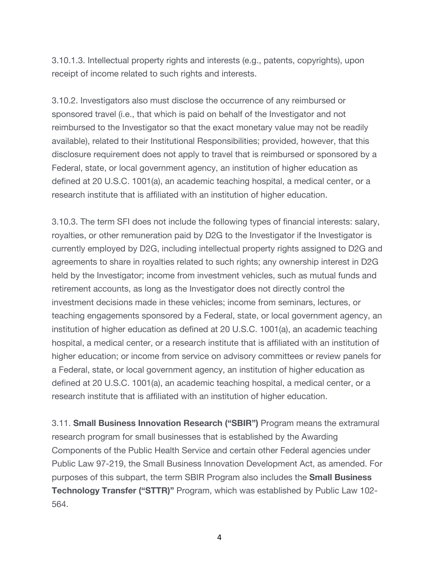3.10.1.3. Intellectual property rights and interests (e.g., patents, copyrights), upon receipt of income related to such rights and interests.

3.10.2. Investigators also must disclose the occurrence of any reimbursed or sponsored travel (i.e., that which is paid on behalf of the Investigator and not reimbursed to the Investigator so that the exact monetary value may not be readily available), related to their Institutional Responsibilities; provided, however, that this disclosure requirement does not apply to travel that is reimbursed or sponsored by a Federal, state, or local government agency, an institution of higher education as defined at 20 U.S.C. 1001(a), an academic teaching hospital, a medical center, or a research institute that is affiliated with an institution of higher education.

3.10.3. The term SFI does not include the following types of financial interests: salary, royalties, or other remuneration paid by D2G to the Investigator if the Investigator is currently employed by D2G, including intellectual property rights assigned to D2G and agreements to share in royalties related to such rights; any ownership interest in D2G held by the Investigator; income from investment vehicles, such as mutual funds and retirement accounts, as long as the Investigator does not directly control the investment decisions made in these vehicles; income from seminars, lectures, or teaching engagements sponsored by a Federal, state, or local government agency, an institution of higher education as defined at 20 U.S.C. 1001(a), an academic teaching hospital, a medical center, or a research institute that is affiliated with an institution of higher education; or income from service on advisory committees or review panels for a Federal, state, or local government agency, an institution of higher education as defined at 20 U.S.C. 1001(a), an academic teaching hospital, a medical center, or a research institute that is affiliated with an institution of higher education.

3.11. **Small Business Innovation Research ("SBIR")** Program means the extramural research program for small businesses that is established by the Awarding Components of the Public Health Service and certain other Federal agencies under Public Law 97-219, the Small Business Innovation Development Act, as amended. For purposes of this subpart, the term SBIR Program also includes the **Small Business Technology Transfer ("STTR)"** Program, which was established by Public Law 102- 564.

4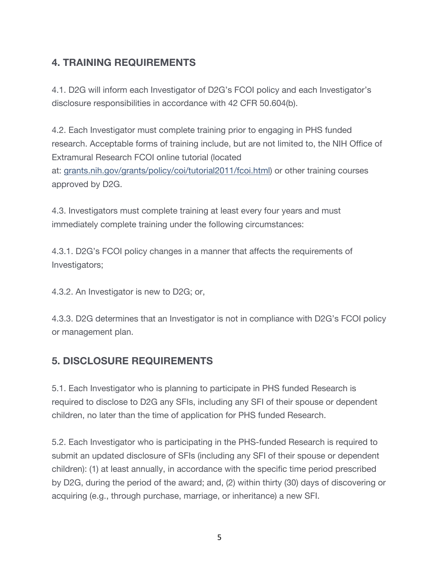## **4. TRAINING REQUIREMENTS**

4.1. D2G will inform each Investigator of D2G's FCOI policy and each Investigator's disclosure responsibilities in accordance with 42 CFR 50.604(b).

4.2. Each Investigator must complete training prior to engaging in PHS funded research. Acceptable forms of training include, but are not limited to, the NIH Office of Extramural Research FCOI online tutorial (located at: grants.nih.gov/grants/policy/coi/tutorial2011/fcoi.html) or other training courses approved by D2G.

4.3. Investigators must complete training at least every four years and must immediately complete training under the following circumstances:

4.3.1. D2G's FCOI policy changes in a manner that affects the requirements of Investigators;

4.3.2. An Investigator is new to D2G; or,

4.3.3. D2G determines that an Investigator is not in compliance with D2G's FCOI policy or management plan.

### **5. DISCLOSURE REQUIREMENTS**

5.1. Each Investigator who is planning to participate in PHS funded Research is required to disclose to D2G any SFIs, including any SFI of their spouse or dependent children, no later than the time of application for PHS funded Research.

5.2. Each Investigator who is participating in the PHS-funded Research is required to submit an updated disclosure of SFIs (including any SFI of their spouse or dependent children): (1) at least annually, in accordance with the specific time period prescribed by D2G, during the period of the award; and, (2) within thirty (30) days of discovering or acquiring (e.g., through purchase, marriage, or inheritance) a new SFI.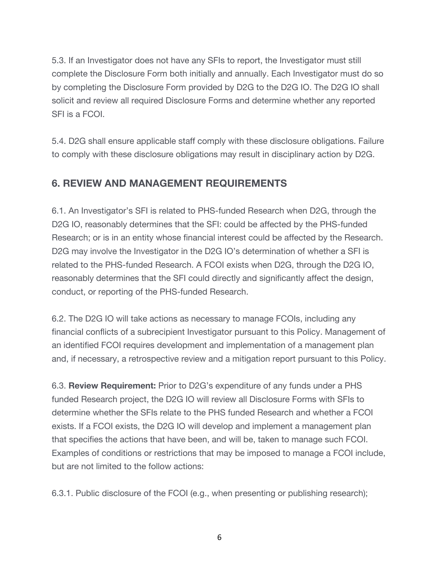5.3. If an Investigator does not have any SFIs to report, the Investigator must still complete the Disclosure Form both initially and annually. Each Investigator must do so by completing the Disclosure Form provided by D2G to the D2G IO. The D2G IO shall solicit and review all required Disclosure Forms and determine whether any reported SFI is a FCOI.

5.4. D2G shall ensure applicable staff comply with these disclosure obligations. Failure to comply with these disclosure obligations may result in disciplinary action by D2G.

### **6. REVIEW AND MANAGEMENT REQUIREMENTS**

6.1. An Investigator's SFI is related to PHS-funded Research when D2G, through the D2G IO, reasonably determines that the SFI: could be affected by the PHS-funded Research; or is in an entity whose financial interest could be affected by the Research. D2G may involve the Investigator in the D2G IO's determination of whether a SFI is related to the PHS-funded Research. A FCOI exists when D2G, through the D2G IO, reasonably determines that the SFI could directly and significantly affect the design, conduct, or reporting of the PHS-funded Research.

6.2. The D2G IO will take actions as necessary to manage FCOIs, including any financial conflicts of a subrecipient Investigator pursuant to this Policy. Management of an identified FCOI requires development and implementation of a management plan and, if necessary, a retrospective review and a mitigation report pursuant to this Policy.

6.3. **Review Requirement:** Prior to D2G's expenditure of any funds under a PHS funded Research project, the D2G IO will review all Disclosure Forms with SFIs to determine whether the SFIs relate to the PHS funded Research and whether a FCOI exists. If a FCOI exists, the D2G IO will develop and implement a management plan that specifies the actions that have been, and will be, taken to manage such FCOI. Examples of conditions or restrictions that may be imposed to manage a FCOI include, but are not limited to the follow actions:

6.3.1. Public disclosure of the FCOI (e.g., when presenting or publishing research);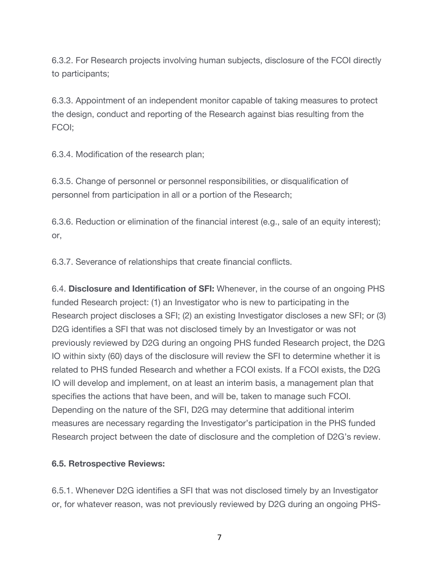6.3.2. For Research projects involving human subjects, disclosure of the FCOI directly to participants;

6.3.3. Appointment of an independent monitor capable of taking measures to protect the design, conduct and reporting of the Research against bias resulting from the FCOI;

6.3.4. Modification of the research plan;

6.3.5. Change of personnel or personnel responsibilities, or disqualification of personnel from participation in all or a portion of the Research;

6.3.6. Reduction or elimination of the financial interest (e.g., sale of an equity interest); or,

6.3.7. Severance of relationships that create financial conflicts.

6.4. **Disclosure and Identification of SFI:** Whenever, in the course of an ongoing PHS funded Research project: (1) an Investigator who is new to participating in the Research project discloses a SFI; (2) an existing Investigator discloses a new SFI; or (3) D2G identifies a SFI that was not disclosed timely by an Investigator or was not previously reviewed by D2G during an ongoing PHS funded Research project, the D2G IO within sixty (60) days of the disclosure will review the SFI to determine whether it is related to PHS funded Research and whether a FCOI exists. If a FCOI exists, the D2G IO will develop and implement, on at least an interim basis, a management plan that specifies the actions that have been, and will be, taken to manage such FCOI. Depending on the nature of the SFI, D2G may determine that additional interim measures are necessary regarding the Investigator's participation in the PHS funded Research project between the date of disclosure and the completion of D2G's review.

#### **6.5. Retrospective Reviews:**

6.5.1. Whenever D2G identifies a SFI that was not disclosed timely by an Investigator or, for whatever reason, was not previously reviewed by D2G during an ongoing PHS-

7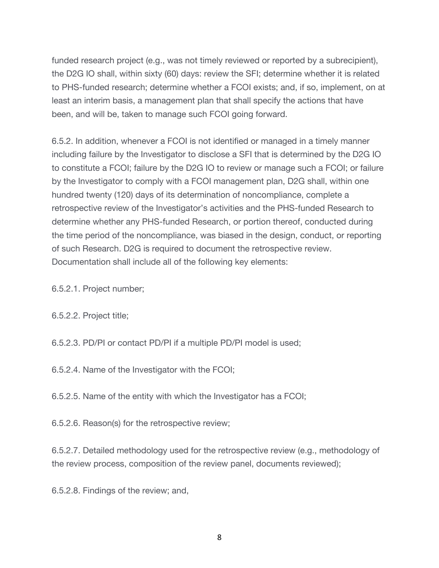funded research project (e.g., was not timely reviewed or reported by a subrecipient), the D2G IO shall, within sixty (60) days: review the SFI; determine whether it is related to PHS-funded research; determine whether a FCOI exists; and, if so, implement, on at least an interim basis, a management plan that shall specify the actions that have been, and will be, taken to manage such FCOI going forward.

6.5.2. In addition, whenever a FCOI is not identified or managed in a timely manner including failure by the Investigator to disclose a SFI that is determined by the D2G IO to constitute a FCOI; failure by the D2G IO to review or manage such a FCOI; or failure by the Investigator to comply with a FCOI management plan, D2G shall, within one hundred twenty (120) days of its determination of noncompliance, complete a retrospective review of the Investigator's activities and the PHS-funded Research to determine whether any PHS-funded Research, or portion thereof, conducted during the time period of the noncompliance, was biased in the design, conduct, or reporting of such Research. D2G is required to document the retrospective review. Documentation shall include all of the following key elements:

6.5.2.1. Project number;

6.5.2.2. Project title;

6.5.2.3. PD/PI or contact PD/PI if a multiple PD/PI model is used;

6.5.2.4. Name of the Investigator with the FCOI;

6.5.2.5. Name of the entity with which the Investigator has a FCOI;

6.5.2.6. Reason(s) for the retrospective review;

6.5.2.7. Detailed methodology used for the retrospective review (e.g., methodology of the review process, composition of the review panel, documents reviewed);

6.5.2.8. Findings of the review; and,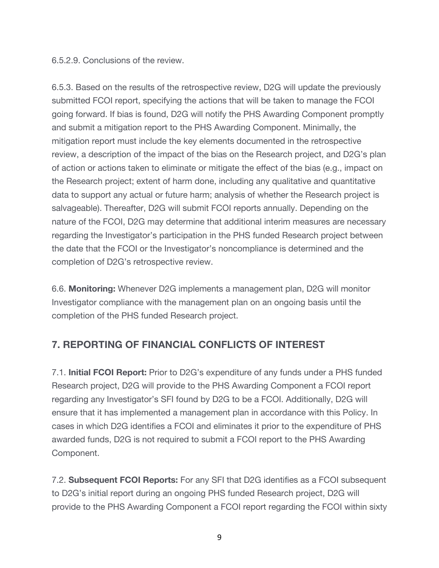#### 6.5.2.9. Conclusions of the review.

6.5.3. Based on the results of the retrospective review, D2G will update the previously submitted FCOI report, specifying the actions that will be taken to manage the FCOI going forward. If bias is found, D2G will notify the PHS Awarding Component promptly and submit a mitigation report to the PHS Awarding Component. Minimally, the mitigation report must include the key elements documented in the retrospective review, a description of the impact of the bias on the Research project, and D2G's plan of action or actions taken to eliminate or mitigate the effect of the bias (e.g., impact on the Research project; extent of harm done, including any qualitative and quantitative data to support any actual or future harm; analysis of whether the Research project is salvageable). Thereafter, D2G will submit FCOI reports annually. Depending on the nature of the FCOI, D2G may determine that additional interim measures are necessary regarding the Investigator's participation in the PHS funded Research project between the date that the FCOI or the Investigator's noncompliance is determined and the completion of D2G's retrospective review.

6.6. **Monitoring:** Whenever D2G implements a management plan, D2G will monitor Investigator compliance with the management plan on an ongoing basis until the completion of the PHS funded Research project.

### **7. REPORTING OF FINANCIAL CONFLICTS OF INTEREST**

7.1. **Initial FCOI Report:** Prior to D2G's expenditure of any funds under a PHS funded Research project, D2G will provide to the PHS Awarding Component a FCOI report regarding any Investigator's SFI found by D2G to be a FCOI. Additionally, D2G will ensure that it has implemented a management plan in accordance with this Policy. In cases in which D2G identifies a FCOI and eliminates it prior to the expenditure of PHS awarded funds, D2G is not required to submit a FCOI report to the PHS Awarding Component.

7.2. **Subsequent FCOI Reports:** For any SFI that D2G identifies as a FCOI subsequent to D2G's initial report during an ongoing PHS funded Research project, D2G will provide to the PHS Awarding Component a FCOI report regarding the FCOI within sixty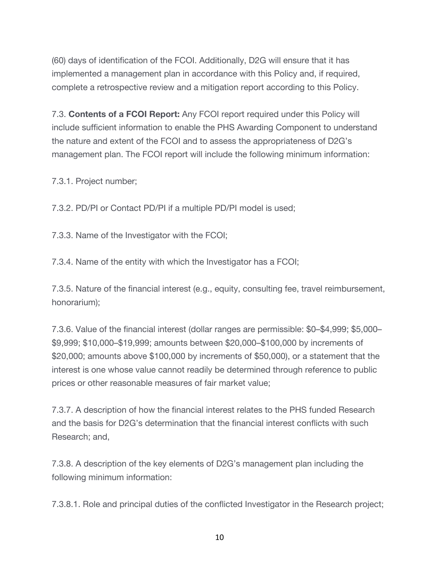(60) days of identification of the FCOI. Additionally, D2G will ensure that it has implemented a management plan in accordance with this Policy and, if required, complete a retrospective review and a mitigation report according to this Policy.

7.3. **Contents of a FCOI Report:** Any FCOI report required under this Policy will include sufficient information to enable the PHS Awarding Component to understand the nature and extent of the FCOI and to assess the appropriateness of D2G's management plan. The FCOI report will include the following minimum information:

7.3.1. Project number;

7.3.2. PD/PI or Contact PD/PI if a multiple PD/PI model is used;

7.3.3. Name of the Investigator with the FCOI;

7.3.4. Name of the entity with which the Investigator has a FCOI;

7.3.5. Nature of the financial interest (e.g., equity, consulting fee, travel reimbursement, honorarium);

7.3.6. Value of the financial interest (dollar ranges are permissible: \$0–\$4,999; \$5,000– \$9,999; \$10,000–\$19,999; amounts between \$20,000–\$100,000 by increments of \$20,000; amounts above \$100,000 by increments of \$50,000), or a statement that the interest is one whose value cannot readily be determined through reference to public prices or other reasonable measures of fair market value;

7.3.7. A description of how the financial interest relates to the PHS funded Research and the basis for D2G's determination that the financial interest conflicts with such Research; and,

7.3.8. A description of the key elements of D2G's management plan including the following minimum information:

7.3.8.1. Role and principal duties of the conflicted Investigator in the Research project;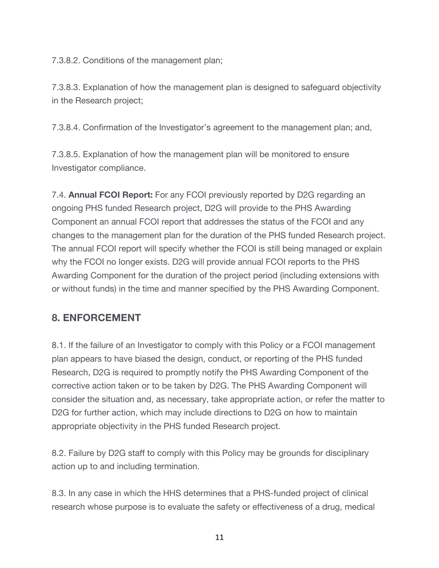7.3.8.2. Conditions of the management plan;

7.3.8.3. Explanation of how the management plan is designed to safeguard objectivity in the Research project;

7.3.8.4. Confirmation of the Investigator's agreement to the management plan; and,

7.3.8.5. Explanation of how the management plan will be monitored to ensure Investigator compliance.

7.4. **Annual FCOI Report:** For any FCOI previously reported by D2G regarding an ongoing PHS funded Research project, D2G will provide to the PHS Awarding Component an annual FCOI report that addresses the status of the FCOI and any changes to the management plan for the duration of the PHS funded Research project. The annual FCOI report will specify whether the FCOI is still being managed or explain why the FCOI no longer exists. D2G will provide annual FCOI reports to the PHS Awarding Component for the duration of the project period (including extensions with or without funds) in the time and manner specified by the PHS Awarding Component.

### **8. ENFORCEMENT**

8.1. If the failure of an Investigator to comply with this Policy or a FCOI management plan appears to have biased the design, conduct, or reporting of the PHS funded Research, D2G is required to promptly notify the PHS Awarding Component of the corrective action taken or to be taken by D2G. The PHS Awarding Component will consider the situation and, as necessary, take appropriate action, or refer the matter to D2G for further action, which may include directions to D2G on how to maintain appropriate objectivity in the PHS funded Research project.

8.2. Failure by D2G staff to comply with this Policy may be grounds for disciplinary action up to and including termination.

8.3. In any case in which the HHS determines that a PHS-funded project of clinical research whose purpose is to evaluate the safety or effectiveness of a drug, medical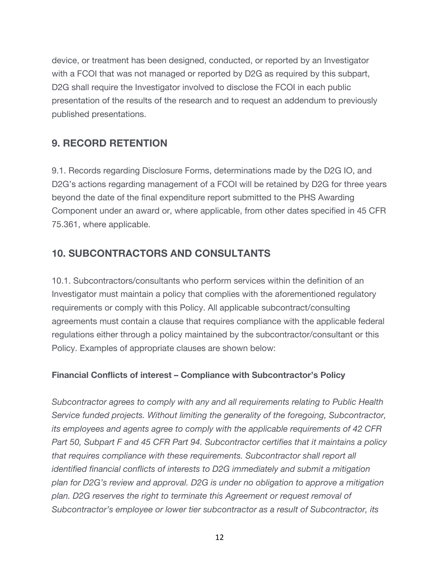device, or treatment has been designed, conducted, or reported by an Investigator with a FCOI that was not managed or reported by D2G as required by this subpart, D2G shall require the Investigator involved to disclose the FCOI in each public presentation of the results of the research and to request an addendum to previously published presentations.

### **9. RECORD RETENTION**

9.1. Records regarding Disclosure Forms, determinations made by the D2G IO, and D2G's actions regarding management of a FCOI will be retained by D2G for three years beyond the date of the final expenditure report submitted to the PHS Awarding Component under an award or, where applicable, from other dates specified in 45 CFR 75.361, where applicable.

### **10. SUBCONTRACTORS AND CONSULTANTS**

10.1. Subcontractors/consultants who perform services within the definition of an Investigator must maintain a policy that complies with the aforementioned regulatory requirements or comply with this Policy. All applicable subcontract/consulting agreements must contain a clause that requires compliance with the applicable federal regulations either through a policy maintained by the subcontractor/consultant or this Policy. Examples of appropriate clauses are shown below:

#### **Financial Conflicts of interest – Compliance with Subcontractor's Policy**

*Subcontractor agrees to comply with any and all requirements relating to Public Health Service funded projects. Without limiting the generality of the foregoing, Subcontractor, its employees and agents agree to comply with the applicable requirements of 42 CFR Part 50, Subpart F and 45 CFR Part 94. Subcontractor certifies that it maintains a policy that requires compliance with these requirements. Subcontractor shall report all identified financial conflicts of interests to D2G immediately and submit a mitigation plan for D2G's review and approval. D2G is under no obligation to approve a mitigation plan. D2G reserves the right to terminate this Agreement or request removal of Subcontractor's employee or lower tier subcontractor as a result of Subcontractor, its*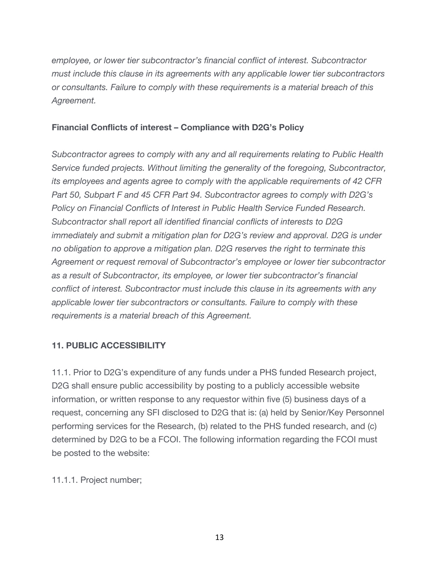*employee, or lower tier subcontractor's financial conflict of interest. Subcontractor must include this clause in its agreements with any applicable lower tier subcontractors or consultants. Failure to comply with these requirements is a material breach of this Agreement.*

#### **Financial Conflicts of interest – Compliance with D2G's Policy**

*Subcontractor agrees to comply with any and all requirements relating to Public Health Service funded projects. Without limiting the generality of the foregoing, Subcontractor, its employees and agents agree to comply with the applicable requirements of 42 CFR Part 50, Subpart F and 45 CFR Part 94. Subcontractor agrees to comply with D2G's Policy on Financial Conflicts of Interest in Public Health Service Funded Research. Subcontractor shall report all identified financial conflicts of interests to D2G immediately and submit a mitigation plan for D2G's review and approval. D2G is under no obligation to approve a mitigation plan. D2G reserves the right to terminate this Agreement or request removal of Subcontractor's employee or lower tier subcontractor as a result of Subcontractor, its employee, or lower tier subcontractor's financial conflict of interest. Subcontractor must include this clause in its agreements with any applicable lower tier subcontractors or consultants. Failure to comply with these requirements is a material breach of this Agreement.*

#### **11. PUBLIC ACCESSIBILITY**

11.1. Prior to D2G's expenditure of any funds under a PHS funded Research project, D2G shall ensure public accessibility by posting to a publicly accessible website information, or written response to any requestor within five (5) business days of a request, concerning any SFI disclosed to D2G that is: (a) held by Senior/Key Personnel performing services for the Research, (b) related to the PHS funded research, and (c) determined by D2G to be a FCOI. The following information regarding the FCOI must be posted to the website:

11.1.1. Project number;